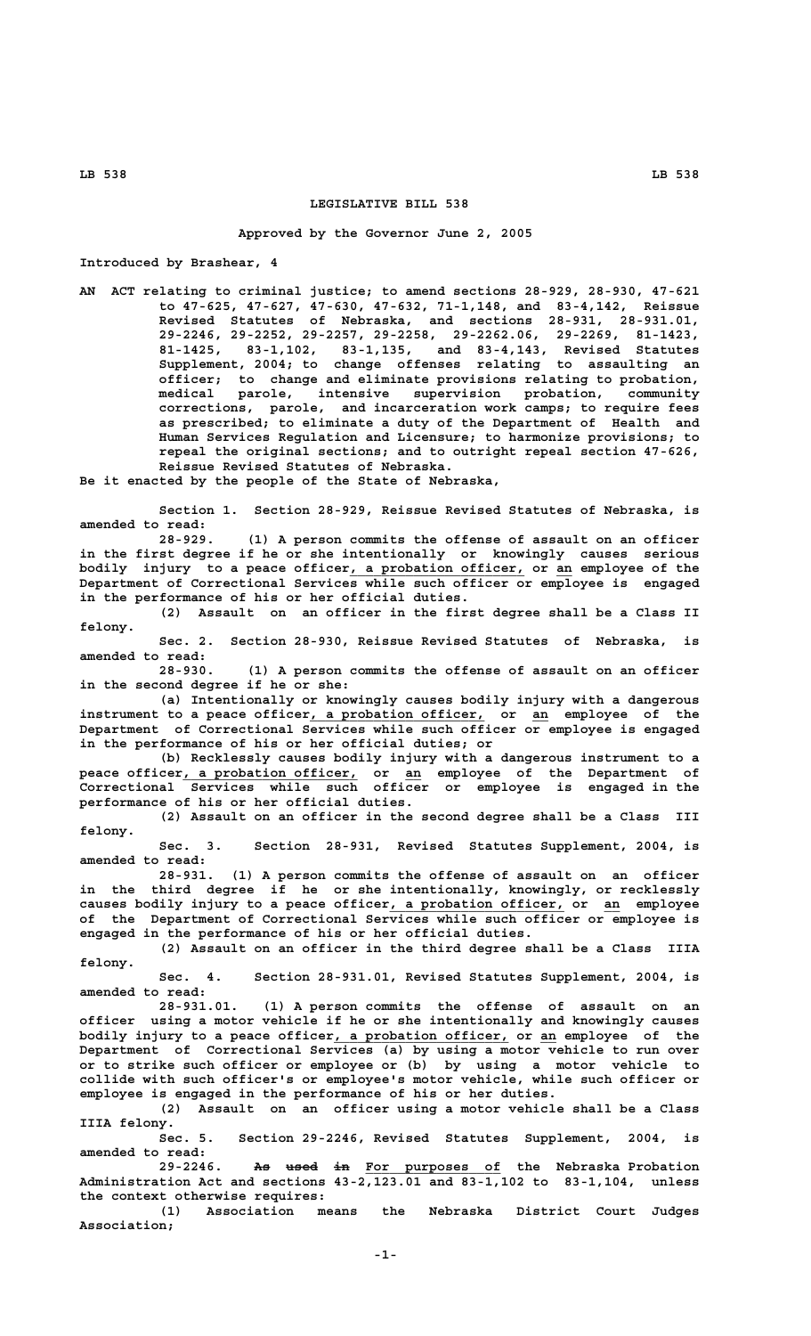## **LEGISLATIVE BILL 538**

## **Approved by the Governor June 2, 2005**

**Introduced by Brashear, 4**

**AN ACT relating to criminal justice; to amend sections 28-929, 28-930, 47-621 to 47-625, 47-627, 47-630, 47-632, 71-1,148, and 83-4,142, Reissue Revised Statutes of Nebraska, and sections 28-931, 28-931.01, 29-2246, 29-2252, 29-2257, 29-2258, 29-2262.06, 29-2269, 81-1423, 81-1425, 83-1,102, 83-1,135, and 83-4,143, Revised Statutes Supplement, 2004; to change offenses relating to assaulting an officer; to change and eliminate provisions relating to probation, medical parole, intensive supervision probation, community corrections, parole, and incarceration work camps; to require fees as prescribed; to eliminate a duty of the Department of Health and Human Services Regulation and Licensure; to harmonize provisions; to repeal the original sections; and to outright repeal section 47-626, Reissue Revised Statutes of Nebraska.**

**Be it enacted by the people of the State of Nebraska,**

**Section 1. Section 28-929, Reissue Revised Statutes of Nebraska, is amended to read:**

**28-929. (1) A person commits the offense of assault on an officer in the first degree if he or she intentionally or knowingly causes serious** bodily injury to a peace officer, a probation officer, or an employee of the **Department of Correctional Services while such officer or employee is engaged in the performance of his or her official duties.**

**(2) Assault on an officer in the first degree shall be a Class II felony.**

**Sec. 2. Section 28-930, Reissue Revised Statutes of Nebraska, is amended to read:**

**28-930. (1) A person commits the offense of assault on an officer in the second degree if he or she:**

**(a) Intentionally or knowingly causes bodily injury with a dangerous** instrument to a peace officer, a probation officer, or an employee of the **Department of Correctional Services while such officer or employee is engaged in the performance of his or her official duties; or**

**(b) Recklessly causes bodily injury with a dangerous instrument to a \_\_\_\_\_\_\_\_\_\_\_\_\_\_\_\_\_\_\_\_\_\_ \_\_ peace officer, a probation officer, or an employee of the Department of Correctional Services while such officer or employee is engaged in the performance of his or her official duties.**

> **(2) Assault on an officer in the second degree shall be a Class III felony.**

> **Sec. 3. Section 28-931, Revised Statutes Supplement, 2004, is amended to read:**

> **28-931. (1) A person commits the offense of assault on an officer in the third degree if he or she intentionally, knowingly, or recklessly** causes bodily injury to a peace officer, a probation officer, or an employee **of the Department of Correctional Services while such officer or employee is engaged in the performance of his or her official duties.**

> **(2) Assault on an officer in the third degree shall be a Class IIIA felony.**

> **Sec. 4. Section 28-931.01, Revised Statutes Supplement, 2004, is amended to read:**

> **28-931.01. (1) A person commits the offense of assault on an officer using a motor vehicle if he or she intentionally and knowingly causes** bodily injury to a peace officer, a probation officer, or an employee of the **Department of Correctional Services (a) by using a motor vehicle to run over or to strike such officer or employee or (b) by using a motor vehicle to collide with such officer's or employee's motor vehicle, while such officer or employee is engaged in the performance of his or her duties.**

> **(2) Assault on an officer using a motor vehicle shall be a Class IIIA felony.**

> **Sec. 5. Section 29-2246, Revised Statutes Supplement, 2004, is amended to read:**

> 29-2246. As used in For purposes of the Nebraska-Probation **Administration Act and sections 43-2,123.01 and 83-1,102 to 83-1,104, unless the context otherwise requires:**

> **(1) Association means the Nebraska District Court Judges Association;**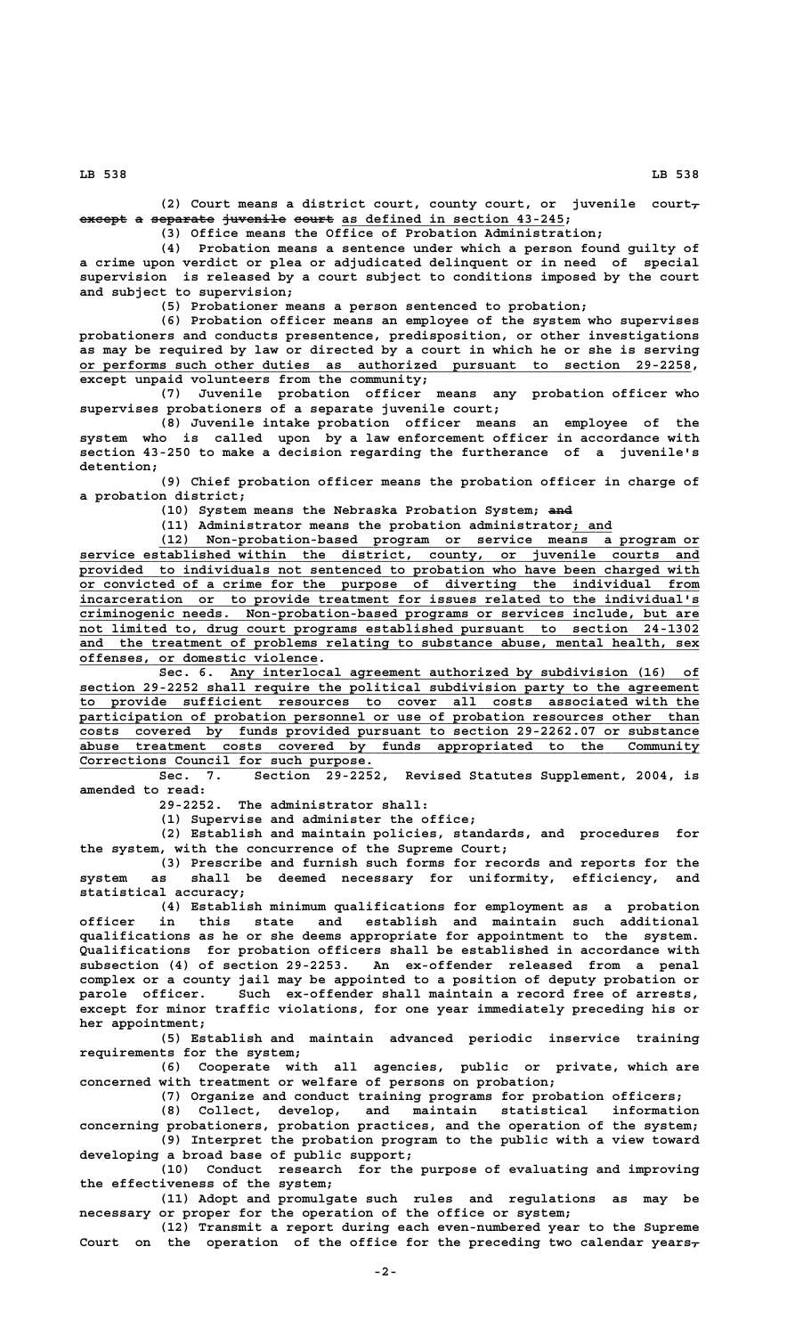**(2) Court means a district court, county court, or juvenile court,** except a separate juvenile court as defined in section 43-245;

**(3) Office means the Office of Probation Administration;**

**(4) Probation means a sentence under which a person found guilty of a crime upon verdict or plea or adjudicated delinquent or in need of special supervision is released by a court subject to conditions imposed by the court and subject to supervision;**

**(5) Probationer means a person sentenced to probation;**

**(6) Probation officer means an employee of the system who supervises probationers and conducts presentence, predisposition, or other investigations as may be required by law or directed by a court in which he or she is serving \_\_\_\_\_\_\_\_\_\_\_\_\_\_\_\_\_\_\_\_\_\_\_\_\_\_\_\_\_\_\_\_\_\_\_\_\_\_\_\_\_\_\_\_\_\_\_\_\_\_\_\_\_\_\_\_\_\_\_\_\_\_\_\_\_\_\_\_\_\_\_\_\_\_\_\_\_ or performs such other duties as authorized pursuant to section 29-2258, except unpaid volunteers from the community;**

**(7) Juvenile probation officer means any probation officer who supervises probationers of a separate juvenile court;**

**(8) Juvenile intake probation officer means an employee of the system who is called upon by a law enforcement officer in accordance with section 43-250 to make a decision regarding the furtherance of a juvenile's detention;**

**(9) Chief probation officer means the probation officer in charge of a probation district;**

(10) System means the Nebraska Probation System; and

**(11) Administrator means the probation administrator; and \_\_\_\_\_**

 **\_\_\_\_\_\_\_\_\_\_\_\_\_\_\_\_\_\_\_\_\_\_\_\_\_\_\_\_\_\_\_\_\_\_\_\_\_\_\_\_\_\_\_\_\_\_\_\_\_\_\_\_\_\_\_\_\_\_\_\_\_\_\_\_\_\_\_\_ (12) Non-probation-based program or service means a program or \_\_\_\_\_\_\_\_\_\_\_\_\_\_\_\_\_\_\_\_\_\_\_\_\_\_\_\_\_\_\_\_\_\_\_\_\_\_\_\_\_\_\_\_\_\_\_\_\_\_\_\_\_\_\_\_\_\_\_\_\_\_\_\_\_\_\_\_\_\_\_\_\_\_\_\_\_\_ service established within the district, county, or juvenile courts and \_\_\_\_\_\_\_\_\_\_\_\_\_\_\_\_\_\_\_\_\_\_\_\_\_\_\_\_\_\_\_\_\_\_\_\_\_\_\_\_\_\_\_\_\_\_\_\_\_\_\_\_\_\_\_\_\_\_\_\_\_\_\_\_\_\_\_\_\_\_\_\_\_\_\_\_\_\_ provided to individuals not sentenced to probation who have been charged with \_\_\_\_\_\_\_\_\_\_\_\_\_\_\_\_\_\_\_\_\_\_\_\_\_\_\_\_\_\_\_\_\_\_\_\_\_\_\_\_\_\_\_\_\_\_\_\_\_\_\_\_\_\_\_\_\_\_\_\_\_\_\_\_\_\_\_\_\_\_\_\_\_\_\_\_\_\_ or convicted of a crime for the purpose of diverting the individual from \_\_\_\_\_\_\_\_\_\_\_\_\_\_\_\_\_\_\_\_\_\_\_\_\_\_\_\_\_\_\_\_\_\_\_\_\_\_\_\_\_\_\_\_\_\_\_\_\_\_\_\_\_\_\_\_\_\_\_\_\_\_\_\_\_\_\_\_\_\_\_\_\_\_\_\_\_\_ incarceration or to provide treatment for issues related to the individual's \_\_\_\_\_\_\_\_\_\_\_\_\_\_\_\_\_\_\_\_\_\_\_\_\_\_\_\_\_\_\_\_\_\_\_\_\_\_\_\_\_\_\_\_\_\_\_\_\_\_\_\_\_\_\_\_\_\_\_\_\_\_\_\_\_\_\_\_\_\_\_\_\_\_\_\_\_\_ criminogenic needs. Non-probation-based programs or services include, but are** not limited to, drug court programs established pursuant to section 24-1302 and the treatment of problems relating to substance abuse, mental health, sex  **\_\_\_\_\_\_\_\_\_\_\_\_\_\_\_\_\_\_\_\_\_\_\_\_\_\_\_\_\_\_ offenses, or domestic violence.**

Sec. 6. Any interlocal agreement authorized by subdivision (16) of  **\_\_\_\_\_\_\_\_\_\_\_\_\_\_\_\_\_\_\_\_\_\_\_\_\_\_\_\_\_\_\_\_\_\_\_\_\_\_\_\_\_\_\_\_\_\_\_\_\_\_\_\_\_\_\_\_\_\_\_\_\_\_\_\_\_\_\_\_\_\_\_\_\_\_\_\_\_\_ section 29-2252 shall require the political subdivision party to the agreement \_\_\_\_\_\_\_\_\_\_\_\_\_\_\_\_\_\_\_\_\_\_\_\_\_\_\_\_\_\_\_\_\_\_\_\_\_\_\_\_\_\_\_\_\_\_\_\_\_\_\_\_\_\_\_\_\_\_\_\_\_\_\_\_\_\_\_\_\_\_\_\_\_\_\_\_\_\_ to provide sufficient resources to cover all costs associated with the**  $\overline{p}$  participation of probation personnel or use of probation resources other than  **\_\_\_\_\_\_\_\_\_\_\_\_\_\_\_\_\_\_\_\_\_\_\_\_\_\_\_\_\_\_\_\_\_\_\_\_\_\_\_\_\_\_\_\_\_\_\_\_\_\_\_\_\_\_\_\_\_\_\_\_\_\_\_\_\_\_\_\_\_\_\_\_\_\_\_\_\_\_ costs covered by funds provided pursuant to section 29-2262.07 or substance \_\_\_\_\_\_\_\_\_\_\_\_\_\_\_\_\_\_\_\_\_\_\_\_\_\_\_\_\_\_\_\_\_\_\_\_\_\_\_\_\_\_\_\_\_\_\_\_\_\_\_\_\_\_\_\_\_\_\_\_\_\_\_\_\_\_\_\_\_\_\_\_\_\_\_\_\_\_ abuse treatment costs covered by funds appropriated to the Community \_\_\_\_\_\_\_\_\_\_\_\_\_\_\_\_\_\_\_\_\_\_\_\_\_\_\_\_\_\_\_\_\_\_\_\_\_ Corrections Council for such purpose.**

**Sec. 7. Section 29-2252, Revised Statutes Supplement, 2004, is amended to read:**

**29-2252. The administrator shall:**

**(1) Supervise and administer the office;**

**(2) Establish and maintain policies, standards, and procedures for the system, with the concurrence of the Supreme Court;**

**(3) Prescribe and furnish such forms for records and reports for the system as shall be deemed necessary for uniformity, efficiency, and statistical accuracy;**

**(4) Establish minimum qualifications for employment as a probation officer in this state and establish and maintain such additional qualifications as he or she deems appropriate for appointment to the system. Qualifications for probation officers shall be established in accordance with subsection (4) of section 29-2253. An ex-offender released from a penal complex or a county jail may be appointed to a position of deputy probation or** Such ex-offender shall maintain a record free of arrests, **except for minor traffic violations, for one year immediately preceding his or her appointment;**

**(5) Establish and maintain advanced periodic inservice training requirements for the system;**

**(6) Cooperate with all agencies, public or private, which are concerned with treatment or welfare of persons on probation;**

**(7) Organize and conduct training programs for probation officers;**

**(8) Collect, develop, and maintain statistical information concerning probationers, probation practices, and the operation of the system; (9) Interpret the probation program to the public with a view toward**

**developing a broad base of public support; (10) Conduct research for the purpose of evaluating and improving**

**the effectiveness of the system; (11) Adopt and promulgate such rules and regulations as may be necessary or proper for the operation of the office or system;**

**(12) Transmit a report during each even-numbered year to the Supreme** Court on the operation of the office for the preceding two calendar years<sub>r</sub>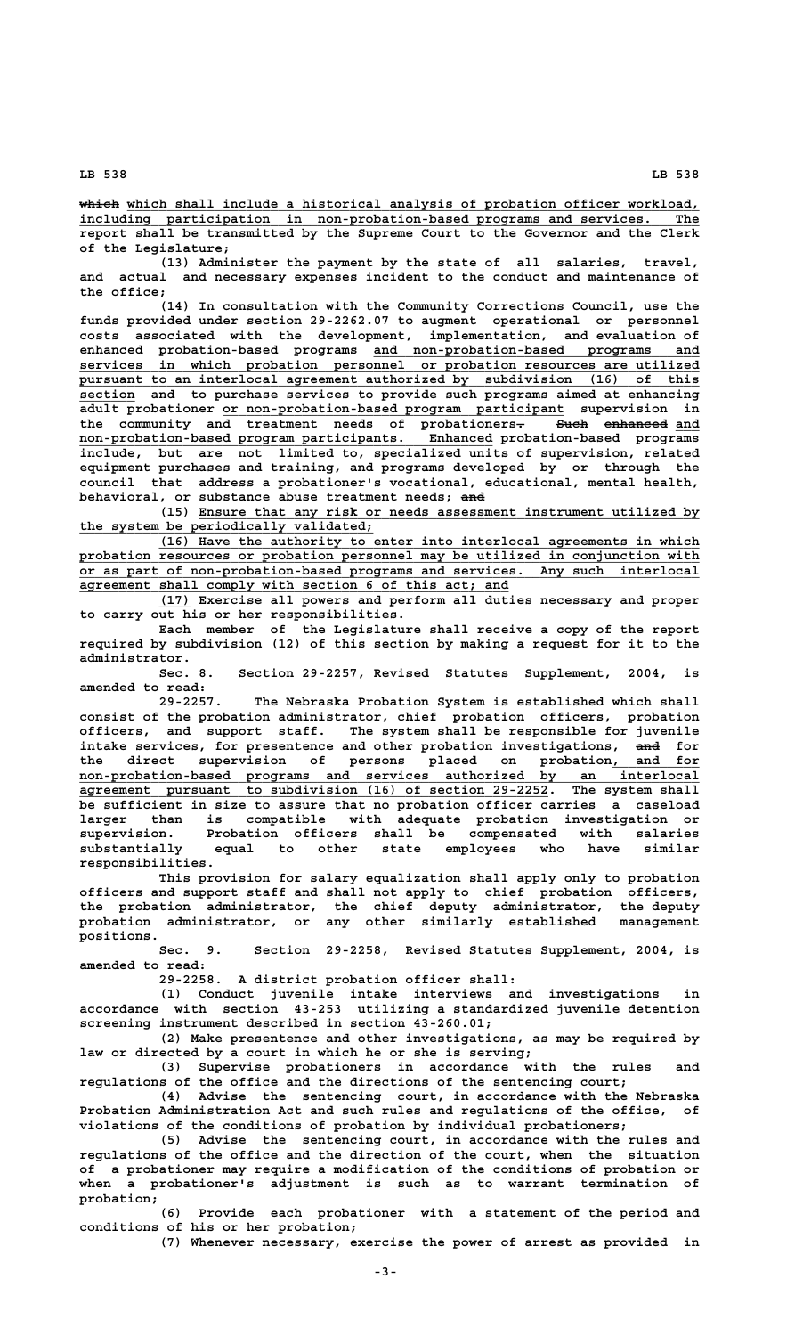**————— \_\_\_\_\_\_\_\_\_\_\_\_\_\_\_\_\_\_\_\_\_\_\_\_\_\_\_\_\_\_\_\_\_\_\_\_\_\_\_\_\_\_\_\_\_\_\_\_\_\_\_\_\_\_\_\_\_\_\_\_\_\_\_\_\_\_\_\_\_\_\_\_ which which shall include a historical analysis of probation officer workload, \_\_\_\_\_\_\_\_\_\_\_\_\_\_\_\_\_\_\_\_\_\_\_\_\_\_\_\_\_\_\_\_\_\_\_\_\_\_\_\_\_\_\_\_\_\_\_\_\_\_\_\_\_\_\_\_\_\_\_\_\_\_\_\_\_\_\_\_\_\_\_\_\_\_\_\_\_\_ including participation in non-probation-based programs and services. The report shall be transmitted by the Supreme Court to the Governor and the Clerk of the Legislature;**

**(13) Administer the payment by the state of all salaries, travel, and actual and necessary expenses incident to the conduct and maintenance of the office;**

**(14) In consultation with the Community Corrections Council, use the funds provided under section 29-2262.07 to augment operational or personnel costs associated with the development, implementation, and evaluation of \_\_\_\_\_\_\_\_\_\_\_\_\_\_\_\_\_\_\_\_\_\_\_\_\_\_\_\_\_\_\_\_\_\_\_\_\_\_\_\_\_ enhanced probation-based programs and non-probation-based programs and \_\_\_\_\_\_\_\_\_\_\_\_\_\_\_\_\_\_\_\_\_\_\_\_\_\_\_\_\_\_\_\_\_\_\_\_\_\_\_\_\_\_\_\_\_\_\_\_\_\_\_\_\_\_\_\_\_\_\_\_\_\_\_\_\_\_\_\_\_\_\_\_\_\_\_\_\_\_ services in which probation personnel or probation resources are utilized \_\_\_\_\_\_\_\_\_\_\_\_\_\_\_\_\_\_\_\_\_\_\_\_\_\_\_\_\_\_\_\_\_\_\_\_\_\_\_\_\_\_\_\_\_\_\_\_\_\_\_\_\_\_\_\_\_\_\_\_\_\_\_\_\_\_\_\_\_\_\_\_\_\_\_\_\_\_ pursuant to an interlocal agreement authorized by subdivision (16) of this \_\_\_\_\_\_\_ section and to purchase services to provide such programs aimed at enhancing \_\_\_\_\_\_\_\_\_\_\_\_\_\_\_\_\_\_\_\_\_\_\_\_\_\_\_\_\_\_\_\_\_\_\_\_\_\_\_\_\_\_\_ adult probationer or non-probation-based program participant supervision in** the community and treatment needs of probationers<del>. Such enhanced</del> and  **\_\_\_\_\_\_\_\_\_\_\_\_\_\_\_\_\_\_\_\_\_\_\_\_\_\_\_\_\_\_\_\_\_\_\_\_\_\_\_\_\_\_\_\_\_\_\_\_\_\_\_\_ non-probation-based program participants. Enhanced probation-based programs include, but are not limited to, specialized units of supervision, related equipment purchases and training, and programs developed by or through the council that address a probationer's vocational, educational, mental health,** behavioral, or substance abuse treatment needs; and

> **\_\_\_\_\_\_\_\_\_\_\_\_\_\_\_\_\_\_\_\_\_\_\_\_\_\_\_\_\_\_\_\_\_\_\_\_\_\_\_\_\_\_\_\_\_\_\_\_\_\_\_\_\_\_\_\_\_\_\_\_\_\_\_ (15) Ensure that any risk or needs assessment instrument utilized by \_\_\_\_\_\_\_\_\_\_\_\_\_\_\_\_\_\_\_\_\_\_\_\_\_\_\_\_\_\_\_\_\_\_\_\_\_ the system be periodically validated;**

> **\_\_\_\_\_\_\_\_\_\_\_\_\_\_\_\_\_\_\_\_\_\_\_\_\_\_\_\_\_\_\_\_\_\_\_\_\_\_\_\_\_\_\_\_\_\_\_\_\_\_\_\_\_\_\_\_\_\_\_\_\_\_\_\_\_\_\_\_ (16) Have the authority to enter into interlocal agreements in which \_\_\_\_\_\_\_\_\_\_\_\_\_\_\_\_\_\_\_\_\_\_\_\_\_\_\_\_\_\_\_\_\_\_\_\_\_\_\_\_\_\_\_\_\_\_\_\_\_\_\_\_\_\_\_\_\_\_\_\_\_\_\_\_\_\_\_\_\_\_\_\_\_\_\_\_\_\_ probation resources or probation personnel may be utilized in conjunction with \_\_\_\_\_\_\_\_\_\_\_\_\_\_\_\_\_\_\_\_\_\_\_\_\_\_\_\_\_\_\_\_\_\_\_\_\_\_\_\_\_\_\_\_\_\_\_\_\_\_\_\_\_\_\_\_\_\_\_\_\_\_\_\_\_\_\_\_\_\_\_\_\_\_\_\_\_\_ or as part of non-probation-based programs and services. Any such interlocal \_\_\_\_\_\_\_\_\_\_\_\_\_\_\_\_\_\_\_\_\_\_\_\_\_\_\_\_\_\_\_\_\_\_\_\_\_\_\_\_\_\_\_\_\_\_\_\_\_\_\_\_\_\_ agreement shall comply with section 6 of this act; and**

> **\_\_\_\_ (17) Exercise all powers and perform all duties necessary and proper to carry out his or her responsibilities.**

> **Each member of the Legislature shall receive a copy of the report required by subdivision (12) of this section by making a request for it to the administrator.**

> **Sec. 8. Section 29-2257, Revised Statutes Supplement, 2004, is amended to read:**

**29-2257. The Nebraska Probation System is established which shall consist of the probation administrator, chief probation officers, probation officers, and support staff. The system shall be responsible for juvenile** intake services, for presentence and other probation investigations, and for the direct supervision of persons placed on probation, and for  **\_\_\_\_\_\_\_\_\_\_\_\_\_\_\_\_\_\_\_\_\_\_\_\_\_\_\_\_\_\_\_\_\_\_\_\_\_\_\_\_\_\_\_\_\_\_\_\_\_\_\_\_\_\_\_\_\_\_\_\_\_\_\_\_\_\_\_\_\_\_\_\_\_\_\_\_\_\_ non-probation-based programs and services authorized by an interlocal \_\_\_\_\_\_\_\_\_\_\_\_\_\_\_\_\_\_\_\_\_\_\_\_\_\_\_\_\_\_\_\_\_\_\_\_\_\_\_\_\_\_\_\_\_\_\_\_\_\_\_\_\_\_\_\_\_\_\_ agreement pursuant to subdivision (16) of section 29-2252. The system shall be sufficient in size to assure that no probation officer carries a caseload larger than is compatible with adequate probation investigation or supervision. Probation officers shall be compensated with salaries substantially equal to other state employees who have similar responsibilities.**

> **This provision for salary equalization shall apply only to probation officers and support staff and shall not apply to chief probation officers, the probation administrator, the chief deputy administrator, the deputy probation administrator, or any other similarly established management positions.**

> Section 29-2258, Revised Statutes Supplement, 2004, is **amended to read:**

**29-2258. A district probation officer shall:**

**(1) Conduct juvenile intake interviews and investigations in accordance with section 43-253 utilizing a standardized juvenile detention screening instrument described in section 43-260.01;**

**(2) Make presentence and other investigations, as may be required by law or directed by a court in which he or she is serving;**

**(3) Supervise probationers in accordance with the rules and regulations of the office and the directions of the sentencing court;**

**(4) Advise the sentencing court, in accordance with the Nebraska Probation Administration Act and such rules and regulations of the office, of violations of the conditions of probation by individual probationers;**

**(5) Advise the sentencing court, in accordance with the rules and regulations of the office and the direction of the court, when the situation of a probationer may require a modification of the conditions of probation or when a probationer's adjustment is such as to warrant termination of probation;**

**(6) Provide each probationer with a statement of the period and conditions of his or her probation;**

**(7) Whenever necessary, exercise the power of arrest as provided in**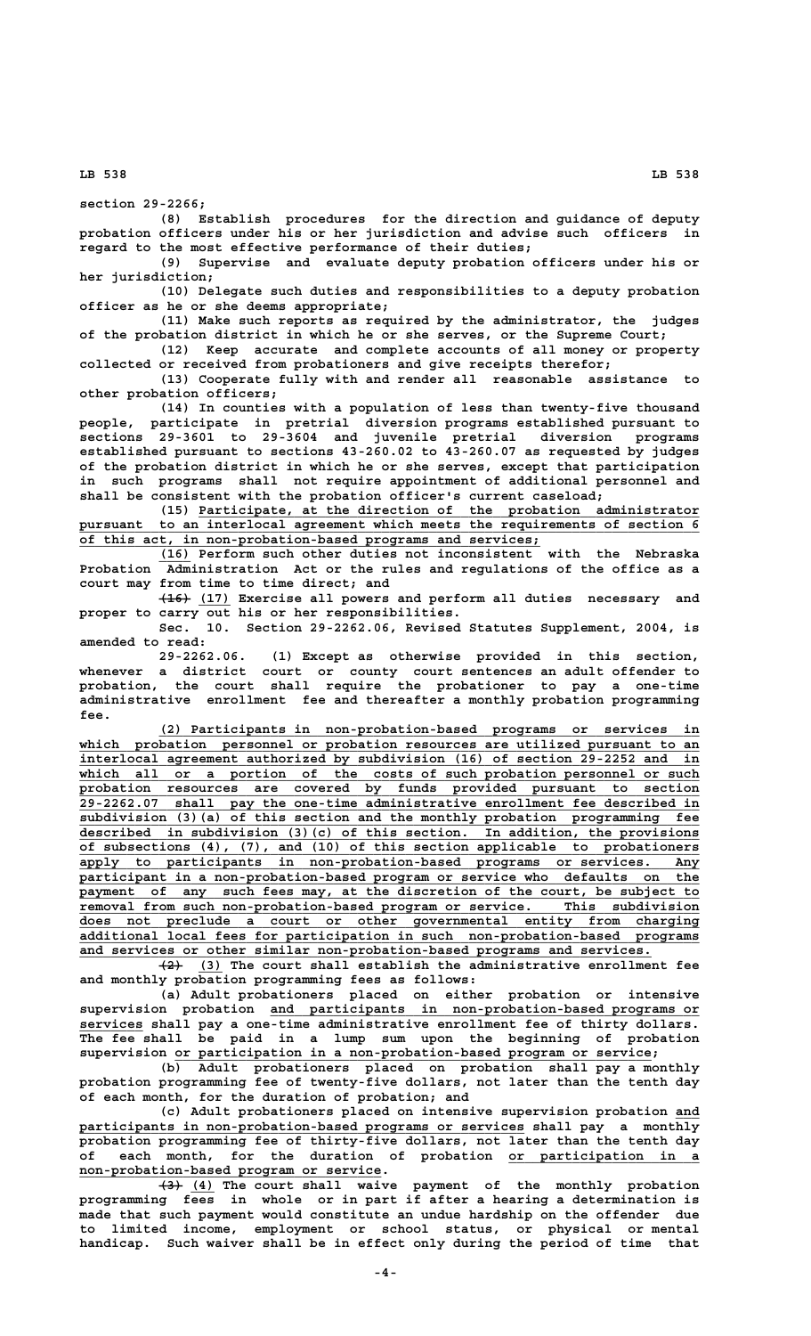**section 29-2266;**

**(8) Establish procedures for the direction and guidance of deputy probation officers under his or her jurisdiction and advise such officers in regard to the most effective performance of their duties;**

**(9) Supervise and evaluate deputy probation officers under his or her jurisdiction;**

**(10) Delegate such duties and responsibilities to a deputy probation officer as he or she deems appropriate;**

**(11) Make such reports as required by the administrator, the judges of the probation district in which he or she serves, or the Supreme Court;**

**(12) Keep accurate and complete accounts of all money or property collected or received from probationers and give receipts therefor; (13) Cooperate fully with and render all reasonable assistance to**

**other probation officers;**

**(14) In counties with a population of less than twenty-five thousand people, participate in pretrial diversion programs established pursuant to sections 29-3601 to 29-3604 and juvenile pretrial diversion programs established pursuant to sections 43-260.02 to 43-260.07 as requested by judges of the probation district in which he or she serves, except that participation in such programs shall not require appointment of additional personnel and shall be consistent with the probation officer's current caseload;**

 **\_\_\_\_\_\_\_\_\_\_\_\_\_\_\_\_\_\_\_\_\_\_\_\_\_\_\_\_\_\_\_\_\_\_\_\_\_\_\_\_\_\_\_\_\_\_\_\_\_\_\_\_\_\_\_\_\_\_\_\_\_\_\_ (15) Participate, at the direction of the probation administrator** pursuant to an interlocal agreement which meets the requirements of section 6  **\_\_\_\_\_\_\_\_\_\_\_\_\_\_\_\_\_\_\_\_\_\_\_\_\_\_\_\_\_\_\_\_\_\_\_\_\_\_\_\_\_\_\_\_\_\_\_\_\_\_\_\_\_\_\_\_\_\_ of this act, in non-probation-based programs and services;**

 **\_\_\_\_ (16) Perform such other duties not inconsistent with the Nebraska Probation Administration Act or the rules and regulations of the office as a court may from time to time direct; and**

 **———— \_\_\_\_ (16) (17) Exercise all powers and perform all duties necessary and proper to carry out his or her responsibilities.**

**Sec. 10. Section 29-2262.06, Revised Statutes Supplement, 2004, is amended to read:**

**29-2262.06. (1) Except as otherwise provided in this section, whenever a district court or county court sentences an adult offender to probation, the court shall require the probationer to pay a one-time administrative enrollment fee and thereafter a monthly probation programming fee.**

 **\_\_\_\_\_\_\_\_\_\_\_\_\_\_\_\_\_\_\_\_\_\_\_\_\_\_\_\_\_\_\_\_\_\_\_\_\_\_\_\_\_\_\_\_\_\_\_\_\_\_\_\_\_\_\_\_\_\_\_\_\_\_\_\_\_\_\_\_ (2) Participants in non-probation-based programs or services in** which probation personnel or probation resources are utilized pursuant to an  **\_\_\_\_\_\_\_\_\_\_\_\_\_\_\_\_\_\_\_\_\_\_\_\_\_\_\_\_\_\_\_\_\_\_\_\_\_\_\_\_\_\_\_\_\_\_\_\_\_\_\_\_\_\_\_\_\_\_\_\_\_\_\_\_\_\_\_\_\_\_\_\_\_\_\_\_\_\_ interlocal agreement authorized by subdivision (16) of section 29-2252 and in** which all or a portion of the costs of such probation personnel or such  **\_\_\_\_\_\_\_\_\_\_\_\_\_\_\_\_\_\_\_\_\_\_\_\_\_\_\_\_\_\_\_\_\_\_\_\_\_\_\_\_\_\_\_\_\_\_\_\_\_\_\_\_\_\_\_\_\_\_\_\_\_\_\_\_\_\_\_\_\_\_\_\_\_\_\_\_\_\_ probation resources are covered by funds provided pursuant to section \_\_\_\_\_\_\_\_\_\_\_\_\_\_\_\_\_\_\_\_\_\_\_\_\_\_\_\_\_\_\_\_\_\_\_\_\_\_\_\_\_\_\_\_\_\_\_\_\_\_\_\_\_\_\_\_\_\_\_\_\_\_\_\_\_\_\_\_\_\_\_\_\_\_\_\_\_\_ 29-2262.07 shall pay the one-time administrative enrollment fee described in \_\_\_\_\_\_\_\_\_\_\_\_\_\_\_\_\_\_\_\_\_\_\_\_\_\_\_\_\_\_\_\_\_\_\_\_\_\_\_\_\_\_\_\_\_\_\_\_\_\_\_\_\_\_\_\_\_\_\_\_\_\_\_\_\_\_\_\_\_\_\_\_\_\_\_\_\_\_ subdivision (3)(a) of this section and the monthly probation programming fee \_\_\_\_\_\_\_\_\_\_\_\_\_\_\_\_\_\_\_\_\_\_\_\_\_\_\_\_\_\_\_\_\_\_\_\_\_\_\_\_\_\_\_\_\_\_\_\_\_\_\_\_\_\_\_\_\_\_\_\_\_\_\_\_\_\_\_\_\_\_\_\_\_\_\_\_\_\_ described in subdivision (3)(c) of this section. In addition, the provisions \_\_\_\_\_\_\_\_\_\_\_\_\_\_\_\_\_\_\_\_\_\_\_\_\_\_\_\_\_\_\_\_\_\_\_\_\_\_\_\_\_\_\_\_\_\_\_\_\_\_\_\_\_\_\_\_\_\_\_\_\_\_\_\_\_\_\_\_\_\_\_\_\_\_\_\_\_\_ of subsections (4), (7), and (10) of this section applicable to probationers \_\_\_\_\_\_\_\_\_\_\_\_\_\_\_\_\_\_\_\_\_\_\_\_\_\_\_\_\_\_\_\_\_\_\_\_\_\_\_\_\_\_\_\_\_\_\_\_\_\_\_\_\_\_\_\_\_\_\_\_\_\_\_\_\_\_\_\_\_\_\_\_\_\_\_\_\_\_ apply to participants in non-probation-based programs or services. Any \_\_\_\_\_\_\_\_\_\_\_\_\_\_\_\_\_\_\_\_\_\_\_\_\_\_\_\_\_\_\_\_\_\_\_\_\_\_\_\_\_\_\_\_\_\_\_\_\_\_\_\_\_\_\_\_\_\_\_\_\_\_\_\_\_\_\_\_\_\_\_\_\_\_\_\_\_\_ participant in a non-probation-based program or service who defaults on the** payment of any such fees may, at the discretion of the court, be subject to  **\_\_\_\_\_\_\_\_\_\_\_\_\_\_\_\_\_\_\_\_\_\_\_\_\_\_\_\_\_\_\_\_\_\_\_\_\_\_\_\_\_\_\_\_\_\_\_\_\_\_\_\_\_\_\_\_\_\_\_\_\_\_\_\_\_\_\_\_\_\_\_\_\_\_\_\_\_\_ removal from such non-probation-based program or service. This subdivision \_\_\_\_\_\_\_\_\_\_\_\_\_\_\_\_\_\_\_\_\_\_\_\_\_\_\_\_\_\_\_\_\_\_\_\_\_\_\_\_\_\_\_\_\_\_\_\_\_\_\_\_\_\_\_\_\_\_\_\_\_\_\_\_\_\_\_\_\_\_\_\_\_\_\_\_\_\_ does not preclude a court or other governmental entity from charging \_\_\_\_\_\_\_\_\_\_\_\_\_\_\_\_\_\_\_\_\_\_\_\_\_\_\_\_\_\_\_\_\_\_\_\_\_\_\_\_\_\_\_\_\_\_\_\_\_\_\_\_\_\_\_\_\_\_\_\_\_\_\_\_\_\_\_\_\_\_\_\_\_\_\_\_\_\_ additional local fees for participation in such non-probation-based programs \_\_\_\_\_\_\_\_\_\_\_\_\_\_\_\_\_\_\_\_\_\_\_\_\_\_\_\_\_\_\_\_\_\_\_\_\_\_\_\_\_\_\_\_\_\_\_\_\_\_\_\_\_\_\_\_\_\_\_\_\_\_\_\_\_\_\_\_\_\_\_\_ and services or other similar non-probation-based programs and services.**

 **——— \_\_\_ (2) (3) The court shall establish the administrative enrollment fee and monthly probation programming fees as follows:**

**(a) Adult probationers placed on either probation or intensive \_\_\_\_\_\_\_\_\_\_\_\_\_\_\_\_\_\_\_\_\_\_\_\_\_\_\_\_\_\_\_\_\_\_\_\_\_\_\_\_\_\_\_\_\_\_\_\_\_\_\_\_\_\_ supervision probation and participants in non-probation-based programs or \_\_\_\_\_\_\_\_ services shall pay a one-time administrative enrollment fee of thirty dollars. The fee shall be paid in a lump sum upon the beginning of probation \_\_\_\_\_\_\_\_\_\_\_\_\_\_\_\_\_\_\_\_\_\_\_\_\_\_\_\_\_\_\_\_\_\_\_\_\_\_\_\_\_\_\_\_\_\_\_\_\_\_\_\_\_\_\_\_\_\_\_\_ supervision or participation in a non-probation-based program or service;**

**(b) Adult probationers placed on probation shall pay a monthly probation programming fee of twenty-five dollars, not later than the tenth day of each month, for the duration of probation; and**

**(c) Adult probationers placed on intensive supervision probation and \_\_\_** participants in non-probation-based programs or services shall pay a monthly **probation programming fee of thirty-five dollars, not later than the tenth day** of each month, for the duration of probation or participation in a  **\_\_\_\_\_\_\_\_\_\_\_\_\_\_\_\_\_\_\_\_\_\_\_\_\_\_\_\_\_\_\_\_\_\_\_\_\_\_ non-probation-based program or service.**

 **——— \_\_\_ (3) (4) The court shall waive payment of the monthly probation programming fees in whole or in part if after a hearing a determination is made that such payment would constitute an undue hardship on the offender due to limited income, employment or school status, or physical or mental handicap. Such waiver shall be in effect only during the period of time that**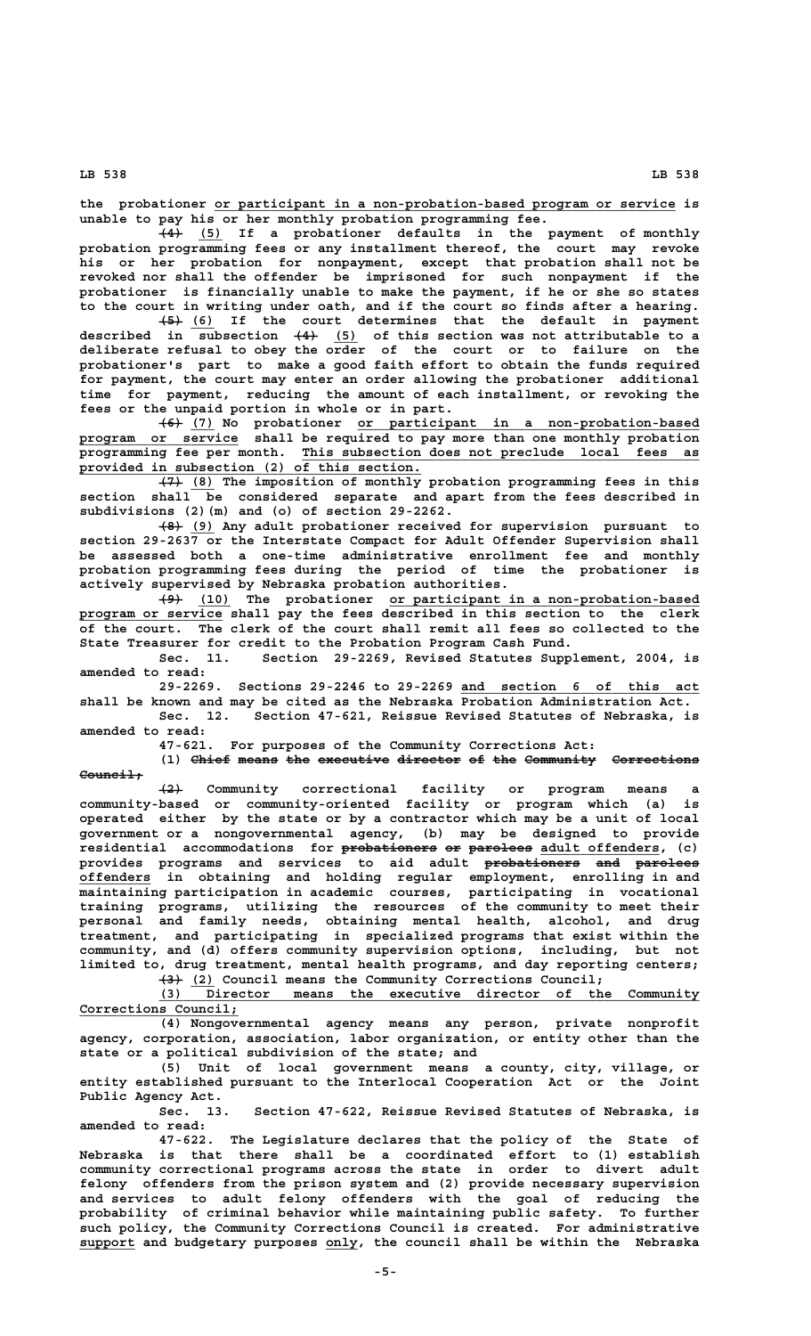**\_\_\_\_\_\_\_\_\_\_\_\_\_\_\_\_\_\_\_\_\_\_\_\_\_\_\_\_\_\_\_\_\_\_\_\_\_\_\_\_\_\_\_\_\_\_\_\_\_\_\_\_\_\_\_\_\_\_ the probationer or participant in a non-probation-based program or service is unable to pay his or her monthly probation programming fee.**

 $\overline{(4)}$  (5) If a probationer defaults in the payment of monthly **probation programming fees or any installment thereof, the court may revoke his or her probation for nonpayment, except that probation shall not be revoked nor shall the offender be imprisoned for such nonpayment if the probationer is financially unable to make the payment, if he or she so states to the court in writing under oath, and if the court so finds after a hearing.**

 **——— \_\_\_ (5) (6) If the court determines that the default in payment ——— \_\_\_ described in subsection (4) (5) of this section was not attributable to a deliberate refusal to obey the order of the court or to failure on the probationer's part to make a good faith effort to obtain the funds required for payment, the court may enter an order allowing the probationer additional time for payment, reducing the amount of each installment, or revoking the fees or the unpaid portion in whole or in part.**

 **——— \_\_\_ \_\_\_\_\_\_\_\_\_\_\_\_\_\_\_\_\_\_\_\_\_\_\_\_\_\_\_\_\_\_\_\_\_\_\_\_\_\_\_\_\_\_\_ (6) (7) No probationer or participant in a non-probation-based \_\_\_\_\_\_\_\_\_\_\_\_\_\_\_\_\_\_\_\_ program or service shall be required to pay more than one monthly probation \_\_\_\_\_\_\_\_\_\_\_\_\_\_\_\_\_\_\_\_\_\_\_\_\_\_\_\_\_\_\_\_\_\_\_\_\_\_\_\_\_\_\_\_\_\_\_\_\_\_ programming fee per month. This subsection does not preclude local fees as \_\_\_\_\_\_\_\_\_\_\_\_\_\_\_\_\_\_\_\_\_\_\_\_\_\_\_\_\_\_\_\_\_\_\_\_\_\_\_\_\_\_\_ provided in subsection (2) of this section.**

 **——— \_\_\_ (7) (8) The imposition of monthly probation programming fees in this section shall be considered separate and apart from the fees described in subdivisions (2)(m) and (o) of section 29-2262.**

 **——— \_\_\_ (8) (9) Any adult probationer received for supervision pursuant to section 29-2637 or the Interstate Compact for Adult Offender Supervision shall be assessed both a one-time administrative enrollment fee and monthly probation programming fees during the period of time the probationer is actively supervised by Nebraska probation authorities.**

 **——— \_\_\_\_ \_\_\_\_\_\_\_\_\_\_\_\_\_\_\_\_\_\_\_\_\_\_\_\_\_\_\_\_\_\_\_\_\_\_\_\_\_\_\_ (9) (10) The probationer or participant in a non-probation-based \_\_\_\_\_\_\_\_\_\_\_\_\_\_\_\_\_\_ program or service shall pay the fees described in this section to the clerk of the court. The clerk of the court shall remit all fees so collected to the State Treasurer for credit to the Probation Program Cash Fund.**

**Sec. 11. Section 29-2269, Revised Statutes Supplement, 2004, is amended to read:**

**29-2269. Sections 29-2246 to 29-2269 and section 6 of this act \_\_\_\_\_\_\_\_\_\_\_\_\_\_\_\_\_\_\_\_\_\_\_\_\_\_\_\_\_\_ shall be known and may be cited as the Nebraska Probation Administration Act.**

**Sec. 12. Section 47-621, Reissue Revised Statutes of Nebraska, is amended to read:**

**47-621. For purposes of the Community Corrections Act:**

**(1) Chief means the executive director of the Community Corrections** Council<sup>+</sup>

 **——— (2) Community correctional facility or program means a community-based or community-oriented facility or program which (a) is operated either by the state or by a contractor which may be a unit of local government or a nongovernmental agency, (b) may be designed to provide** residential accommodations for probationers or parolees adult offenders, (c) provides programs and services to aid adult probationers and parolees  **\_\_\_\_\_\_\_\_\_ offenders in obtaining and holding regular employment, enrolling in and maintaining participation in academic courses, participating in vocational training programs, utilizing the resources of the community to meet their personal and family needs, obtaining mental health, alcohol, and drug treatment, and participating in specialized programs that exist within the community, and (d) offers community supervision options, including, but not limited to, drug treatment, mental health programs, and day reporting centers; ——— \_\_\_ (3) (2) Council means the Community Corrections Council;**

 **\_\_\_\_\_\_\_\_\_\_\_\_\_\_\_\_\_\_\_\_\_\_\_\_\_\_\_\_\_\_\_\_\_\_\_\_\_\_\_\_\_\_\_\_\_\_\_\_\_\_\_\_\_\_\_\_\_\_\_\_\_\_\_\_\_\_\_\_ (3) Director means the executive director of the Community** Corrections Council;

**(4) Nongovernmental agency means any person, private nonprofit agency, corporation, association, labor organization, or entity other than the state or a political subdivision of the state; and**

**(5) Unit of local government means a county, city, village, or entity established pursuant to the Interlocal Cooperation Act or the Joint Public Agency Act.**

**Sec. 13. Section 47-622, Reissue Revised Statutes of Nebraska, is amended to read:**

**47-622. The Legislature declares that the policy of the State of Nebraska is that there shall be a coordinated effort to (1) establish community correctional programs across the state in order to divert adult felony offenders from the prison system and (2) provide necessary supervision and services to adult felony offenders with the goal of reducing the probability of criminal behavior while maintaining public safety. To further such policy, the Community Corrections Council is created. For administrative \_\_\_\_\_\_\_ \_\_\_\_ support and budgetary purposes only, the council shall be within the Nebraska**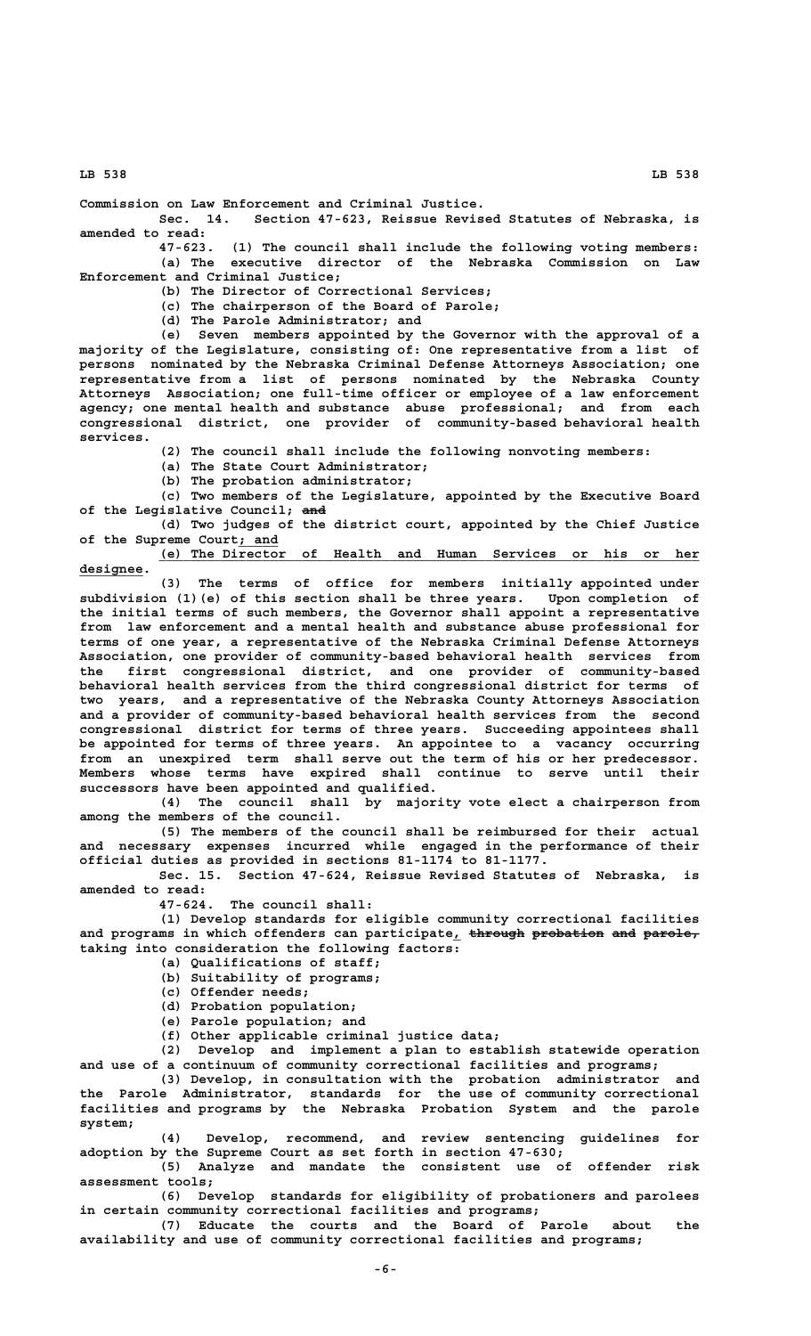**Commission on Law Enforcement and Criminal Justice.**

**Sec. 14. Section 47-623, Reissue Revised Statutes of Nebraska, is amended to read:**

**47-623. (1) The council shall include the following voting members: (a) The executive director of the Nebraska Commission on Law Enforcement and Criminal Justice;**

**(b) The Director of Correctional Services;**

**(c) The chairperson of the Board of Parole;**

**(d) The Parole Administrator; and**

**(e) Seven members appointed by the Governor with the approval of a majority of the Legislature, consisting of: One representative from a list of persons nominated by the Nebraska Criminal Defense Attorneys Association; one representative from a list of persons nominated by the Nebraska County Attorneys Association; one full-time officer or employee of a law enforcement agency; one mental health and substance abuse professional; and from each congressional district, one provider of community-based behavioral health services.**

**(2) The council shall include the following nonvoting members:**

**(a) The State Court Administrator;**

**(b) The probation administrator;**

**(c) Two members of the Legislature, appointed by the Executive Board ——— of the Legislative Council; and**

**(d) Two judges of the district court, appointed by the Chief Justice \_\_\_\_\_ of the Supreme Court; and**

 **\_\_\_\_\_\_\_\_\_\_\_\_\_\_\_\_\_\_\_\_\_\_\_\_\_\_\_\_\_\_\_\_\_\_\_\_\_\_\_\_\_\_\_\_\_\_\_\_\_\_\_\_\_\_\_\_\_\_\_\_\_\_\_\_\_\_\_\_ (e) The Director of Health and Human Services or his or her designee. \_\_\_\_\_\_\_\_**

**(3) The terms of office for members initially appointed under subdivision (1)(e) of this section shall be three years. Upon completion of the initial terms of such members, the Governor shall appoint a representative from law enforcement and a mental health and substance abuse professional for terms of one year, a representative of the Nebraska Criminal Defense Attorneys Association, one provider of community-based behavioral health services from the first congressional district, and one provider of community-based behavioral health services from the third congressional district for terms of two years, and a representative of the Nebraska County Attorneys Association and a provider of community-based behavioral health services from the second congressional district for terms of three years. Succeeding appointees shall be appointed for terms of three years. An appointee to a vacancy occurring from an unexpired term shall serve out the term of his or her predecessor. Members whose terms have expired shall continue to serve until their successors have been appointed and qualified.**

**(4) The council shall by majority vote elect a chairperson from among the members of the council.**

**(5) The members of the council shall be reimbursed for their actual and necessary expenses incurred while engaged in the performance of their official duties as provided in sections 81-1174 to 81-1177.**

**Sec. 15. Section 47-624, Reissue Revised Statutes of Nebraska, is amended to read:**

**47-624. The council shall:**

**(1) Develop standards for eligible community correctional facilities** and programs in which offenders can participate<sub>1</sub> through probation and parole<sub>r</sub> **taking into consideration the following factors:**

**(a) Qualifications of staff;**

**(b) Suitability of programs;**

**(c) Offender needs;**

**(d) Probation population;**

**(e) Parole population; and**

**(f) Other applicable criminal justice data;**

**(2) Develop and implement a plan to establish statewide operation and use of a continuum of community correctional facilities and programs;**

**(3) Develop, in consultation with the probation administrator and the Parole Administrator, standards for the use of community correctional facilities and programs by the Nebraska Probation System and the parole system;**

**(4) Develop, recommend, and review sentencing guidelines for adoption by the Supreme Court as set forth in section 47-630;**

**(5) Analyze and mandate the consistent use of offender risk assessment tools;**

**(6) Develop standards for eligibility of probationers and parolees in certain community correctional facilities and programs;**

**(7) Educate the courts and the Board of Parole about the availability and use of community correctional facilities and programs;**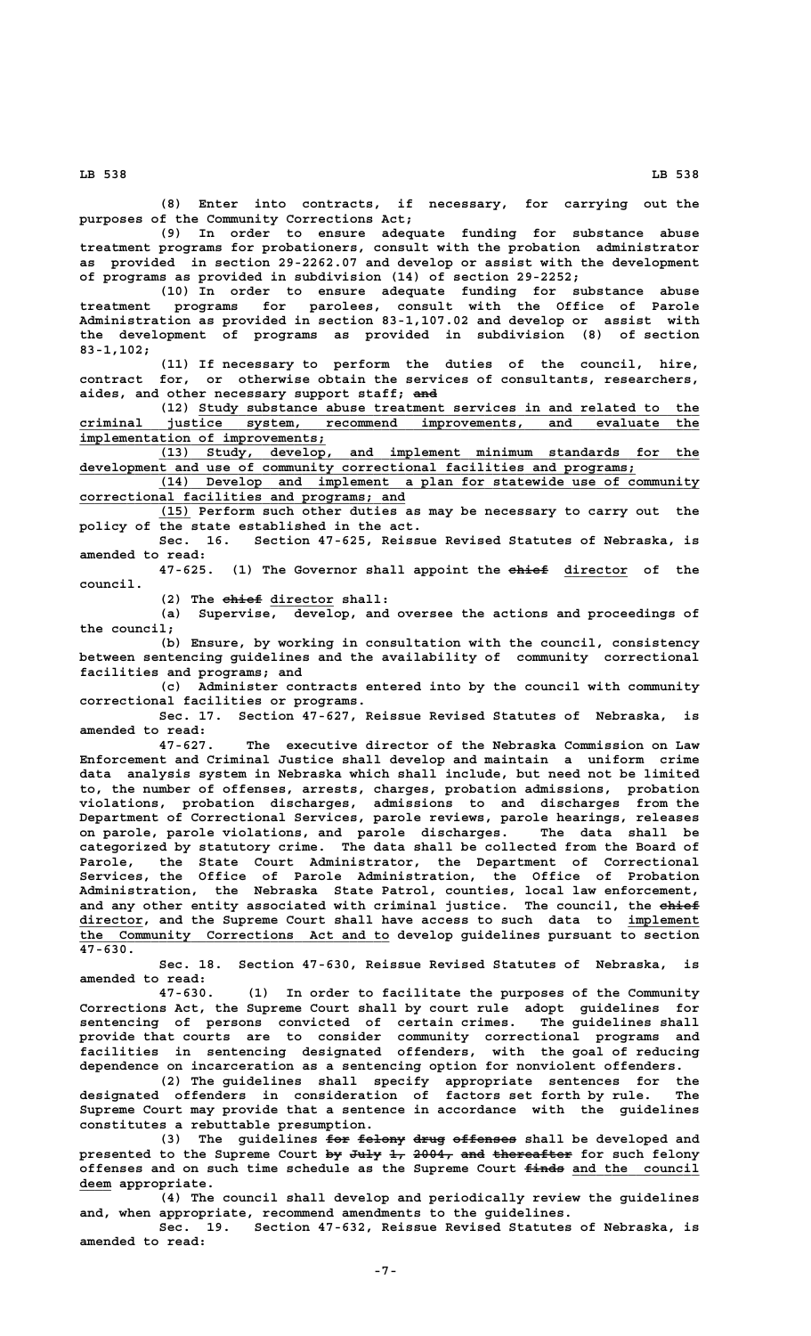**(8) Enter into contracts, if necessary, for carrying out the purposes of the Community Corrections Act;**

**(9) In order to ensure adequate funding for substance abuse treatment programs for probationers, consult with the probation administrator as provided in section 29-2262.07 and develop or assist with the development of programs as provided in subdivision (14) of section 29-2252;**

**(10) In order to ensure adequate funding for substance abuse treatment programs for parolees, consult with the Office of Parole Administration as provided in section 83-1,107.02 and develop or assist with the development of programs as provided in subdivision (8) of section 83-1,102;**

**(11) If necessary to perform the duties of the council, hire, contract for, or otherwise obtain the services of consultants, researchers, ——— aides, and other necessary support staff; and**

 **\_\_\_\_\_\_\_\_\_\_\_\_\_\_\_\_\_\_\_\_\_\_\_\_\_\_\_\_\_\_\_\_\_\_\_\_\_\_\_\_\_\_\_\_\_\_\_\_\_\_\_\_\_\_\_\_\_\_\_\_\_\_\_ (12) Study substance abuse treatment services in and related to the \_\_\_\_\_\_\_\_\_\_\_\_\_\_\_\_\_\_\_\_\_\_\_\_\_\_\_\_\_\_\_\_\_\_\_\_\_\_\_\_\_\_\_\_\_\_\_\_\_\_\_\_\_\_\_\_\_\_\_\_\_\_\_\_\_\_\_\_\_\_\_\_\_\_\_\_\_\_ criminal justice system, recommend improvements, and evaluate the implementation of improvements;**<br>(13) Study, develop,

 **\_\_\_\_\_\_\_\_\_\_\_\_\_\_\_\_\_\_\_\_\_\_\_\_\_\_\_\_\_\_\_\_\_\_\_\_\_\_\_\_\_\_\_\_\_\_\_\_\_\_\_\_\_\_\_\_\_\_\_\_\_\_\_\_\_\_\_\_ (13) Study, develop, and implement minimum standards for the**  $\frac{d evelopment}{d evelopment}$  and use of community correctional facilities and programs;

 **\_\_\_\_\_\_\_\_\_\_\_\_\_\_\_\_\_\_\_\_\_\_\_\_\_\_\_\_\_\_\_\_\_\_\_\_\_\_\_\_\_\_\_\_\_\_\_\_\_\_\_\_\_\_\_\_\_\_\_\_\_\_\_\_\_\_\_\_ (14) Develop and implement a plan for statewide use of community \_\_\_\_\_\_\_\_\_\_\_\_\_\_\_\_\_\_\_\_\_\_\_\_\_\_\_\_\_\_\_\_\_\_\_\_\_\_\_\_\_ correctional facilities and programs; and**

 **\_\_\_\_ (15) Perform such other duties as may be necessary to carry out the** policy of the state established in the act.<br>Sec. 16. Section 47-625, Reiss

Section 47-625, Reissue Revised Statutes of Nebraska, is **amended to read:**

(1) The Governor shall appoint the ehief director of the  **council.**

(2) The ehief director shall:

**(a) Supervise, develop, and oversee the actions and proceedings of the council;**

**(b) Ensure, by working in consultation with the council, consistency between sentencing guidelines and the availability of community correctional facilities and programs; and**

**(c) Administer contracts entered into by the council with community correctional facilities or programs.**

**Sec. 17. Section 47-627, Reissue Revised Statutes of Nebraska, is amended to read:**

**47-627. The executive director of the Nebraska Commission on Law Enforcement and Criminal Justice shall develop and maintain a uniform crime data analysis system in Nebraska which shall include, but need not be limited to, the number of offenses, arrests, charges, probation admissions, probation violations, probation discharges, admissions to and discharges from the Department of Correctional Services, parole reviews, parole hearings, releases on parole, parole violations, and parole discharges. The data shall be categorized by statutory crime. The data shall be collected from the Board of Parole, the State Court Administrator, the Department of Correctional Services, the Office of Parole Administration, the Office of Probation Administration, the Nebraska State Patrol, counties, local law enforcement,** and any other entity associated with criminal justice. The council, the ehief  **\_\_\_\_\_\_\_\_ director, and the Supreme Court shall have access to such data to implement \_\_\_\_\_\_\_\_\_ \_\_\_\_\_\_\_\_\_\_\_\_\_\_\_\_\_\_\_\_\_\_\_\_\_\_\_\_\_\_\_\_\_\_\_\_\_\_\_ the Community Corrections Act and to develop guidelines pursuant to section 47-630.**

**Sec. 18. Section 47-630, Reissue Revised Statutes of Nebraska, is amended to read:**

**47-630. (1) In order to facilitate the purposes of the Community Corrections Act, the Supreme Court shall by court rule adopt guidelines for sentencing of persons convicted of certain crimes. The guidelines shall provide that courts are to consider community correctional programs and facilities in sentencing designated offenders, with the goal of reducing dependence on incarceration as a sentencing option for nonviolent offenders.**

**(2) The guidelines shall specify appropriate sentences for the designated offenders in consideration of factors set forth by rule. The Supreme Court may provide that a sentence in accordance with the guidelines constitutes a rebuttable presumption.**

(3) The guidelines for felony drug offenses shall be developed and presented to the Supreme Court by July 1, 2004, and thereafter for such felony **offenses and on such time schedule as the Supreme Court finds and the council ————— \_\_\_\_\_\_\_\_\_\_\_\_\_\_\_\_ deem appropriate. \_\_\_\_**

**(4) The council shall develop and periodically review the guidelines and, when appropriate, recommend amendments to the guidelines.**

**Sec. 19. Section 47-632, Reissue Revised Statutes of Nebraska, is amended to read:**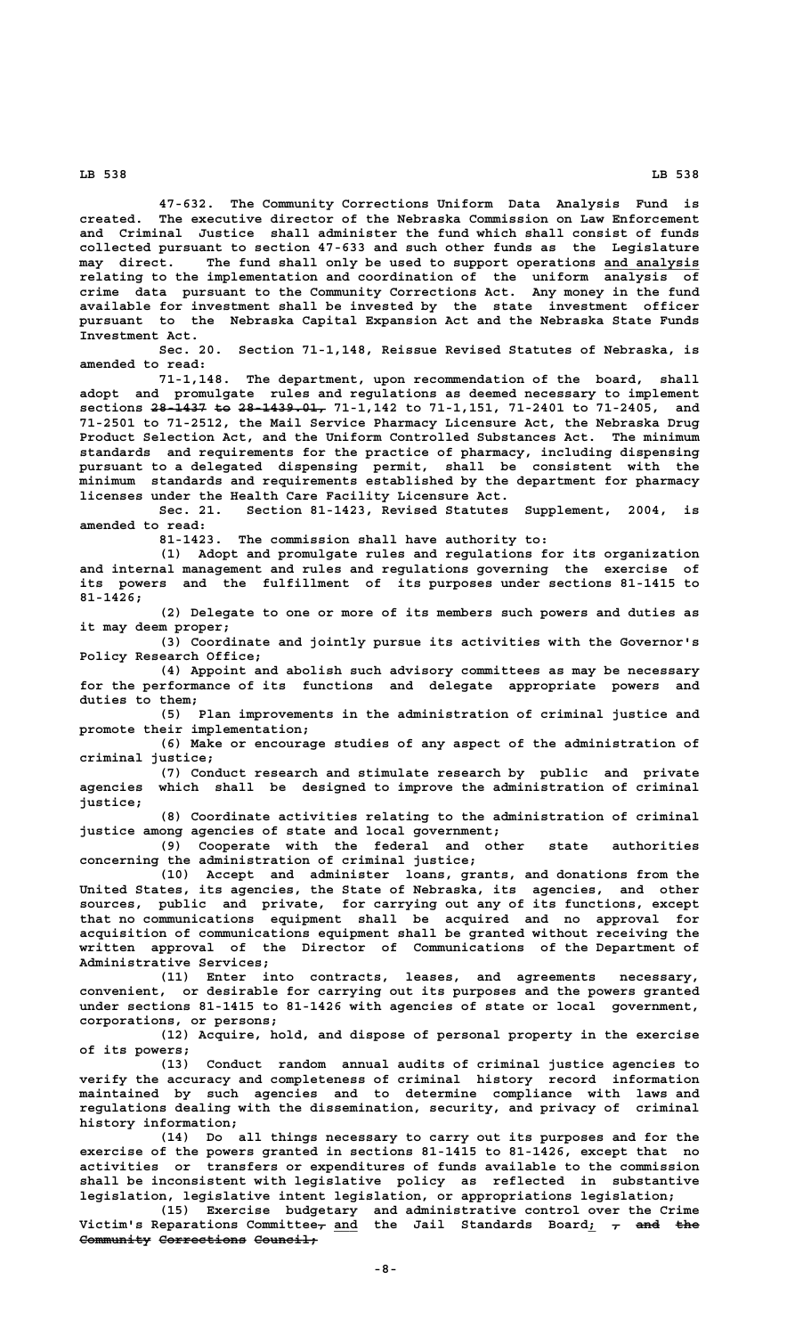**47-632. The Community Corrections Uniform Data Analysis Fund is created. The executive director of the Nebraska Commission on Law Enforcement and Criminal Justice shall administer the fund which shall consist of funds collected pursuant to section 47-633 and such other funds as the Legislature**  $\text{may}$  direct. The fund shall only be used to support operations and analysis **relating to the implementation and coordination of the uniform analysis of crime data pursuant to the Community Corrections Act. Any money in the fund available for investment shall be invested by the state investment officer pursuant to the Nebraska Capital Expansion Act and the Nebraska State Funds Investment Act.**

**Sec. 20. Section 71-1,148, Reissue Revised Statutes of Nebraska, is amended to read:**

**71-1,148. The department, upon recommendation of the board, shall adopt and promulgate rules and regulations as deemed necessary to implement** sections 28 1437 to 28 1439.01, 71-1,142 to 71-1,151, 71-2401 to 71-2405, and **71-2501 to 71-2512, the Mail Service Pharmacy Licensure Act, the Nebraska Drug Product Selection Act, and the Uniform Controlled Substances Act. The minimum standards and requirements for the practice of pharmacy, including dispensing pursuant to a delegated dispensing permit, shall be consistent with the minimum standards and requirements established by the department for pharmacy licenses under the Health Care Facility Licensure Act.**

**Sec. 21. Section 81-1423, Revised Statutes Supplement, 2004, is amended to read:**

**81-1423. The commission shall have authority to:**

**(1) Adopt and promulgate rules and regulations for its organization and internal management and rules and regulations governing the exercise of its powers and the fulfillment of its purposes under sections 81-1415 to 81-1426;**

**(2) Delegate to one or more of its members such powers and duties as it may deem proper;**

**(3) Coordinate and jointly pursue its activities with the Governor's Policy Research Office;**

**(4) Appoint and abolish such advisory committees as may be necessary for the performance of its functions and delegate appropriate powers and duties to them;**

**(5) Plan improvements in the administration of criminal justice and promote their implementation;**

**(6) Make or encourage studies of any aspect of the administration of criminal justice;**

**(7) Conduct research and stimulate research by public and private agencies which shall be designed to improve the administration of criminal justice;**

**(8) Coordinate activities relating to the administration of criminal justice among agencies of state and local government;**

**(9) Cooperate with the federal and other state authorities concerning the administration of criminal justice;**

**(10) Accept and administer loans, grants, and donations from the United States, its agencies, the State of Nebraska, its agencies, and other sources, public and private, for carrying out any of its functions, except that no communications equipment shall be acquired and no approval for acquisition of communications equipment shall be granted without receiving the written approval of the Director of Communications of the Department of Administrative Services;**

**(11) Enter into contracts, leases, and agreements necessary, convenient, or desirable for carrying out its purposes and the powers granted under sections 81-1415 to 81-1426 with agencies of state or local government, corporations, or persons;**

**(12) Acquire, hold, and dispose of personal property in the exercise of its powers;**

**(13) Conduct random annual audits of criminal justice agencies to verify the accuracy and completeness of criminal history record information maintained by such agencies and to determine compliance with laws and regulations dealing with the dissemination, security, and privacy of criminal history information;**

**(14) Do all things necessary to carry out its purposes and for the exercise of the powers granted in sections 81-1415 to 81-1426, except that no activities or transfers or expenditures of funds available to the commission shall be inconsistent with legislative policy as reflected in substantive legislation, legislative intent legislation, or appropriations legislation;**

**(15) Exercise budgetary and administrative control over the Crime**  $Victim's$  Reparations Committee<del>,</del> and the Jail Standards Board;  $_{\mathcal{T}}$  <del>and the</del> **Community Corrections Council;**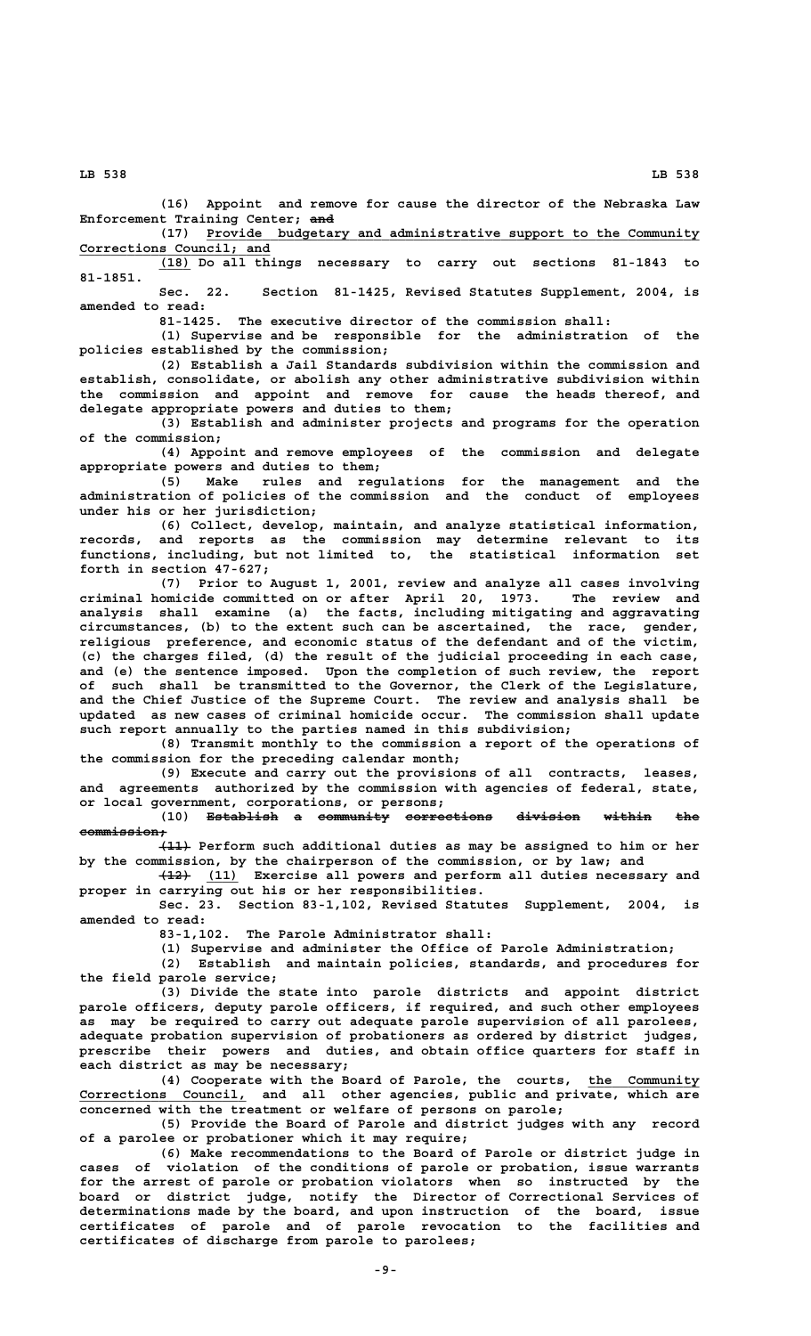**(16) Appoint and remove for cause the director of the Nebraska Law ——— Enforcement Training Center; and**

 **\_\_\_\_\_\_\_\_\_\_\_\_\_\_\_\_\_\_\_\_\_\_\_\_\_\_\_\_\_\_\_\_\_\_\_\_\_\_\_\_\_\_\_\_\_\_\_\_\_\_\_\_\_\_\_\_\_\_\_\_\_\_ (17) Provide budgetary and administrative support to the Community \_\_\_\_\_\_\_\_\_\_\_\_\_\_\_\_\_\_\_\_\_\_\_\_ Corrections Council; and**

 **\_\_\_\_ (18) Do all things necessary to carry out sections 81-1843 to 81-1851.**

**Sec. 22. Section 81-1425, Revised Statutes Supplement, 2004, is amended to read:**

**81-1425. The executive director of the commission shall:**

**(1) Supervise and be responsible for the administration of the policies established by the commission;**

**(2) Establish a Jail Standards subdivision within the commission and establish, consolidate, or abolish any other administrative subdivision within the commission and appoint and remove for cause the heads thereof, and delegate appropriate powers and duties to them;**

**(3) Establish and administer projects and programs for the operation of the commission;**

**(4) Appoint and remove employees of the commission and delegate appropriate powers and duties to them;**

**(5) Make rules and regulations for the management and the administration of policies of the commission and the conduct of employees under his or her jurisdiction;**

**(6) Collect, develop, maintain, and analyze statistical information, records, and reports as the commission may determine relevant to its functions, including, but not limited to, the statistical information set forth in section 47-627;**

**(7) Prior to August 1, 2001, review and analyze all cases involving criminal homicide committed on or after April 20, 1973. The review and analysis shall examine (a) the facts, including mitigating and aggravating circumstances, (b) to the extent such can be ascertained, the race, gender, religious preference, and economic status of the defendant and of the victim, (c) the charges filed, (d) the result of the judicial proceeding in each case, and (e) the sentence imposed. Upon the completion of such review, the report of such shall be transmitted to the Governor, the Clerk of the Legislature, and the Chief Justice of the Supreme Court. The review and analysis shall be updated as new cases of criminal homicide occur. The commission shall update such report annually to the parties named in this subdivision;**

**(8) Transmit monthly to the commission a report of the operations of the commission for the preceding calendar month;**

**(9) Execute and carry out the provisions of all contracts, leases, and agreements authorized by the commission with agencies of federal, state, or local government, corporations, or persons;**

(10) <del>Establish</del> a community corrections division within the  **commission; ———————————**

 **———— (11) Perform such additional duties as may be assigned to him or her by the commission, by the chairperson of the commission, or by law; and**

 **———— \_\_\_\_ (12) (11) Exercise all powers and perform all duties necessary and proper in carrying out his or her responsibilities.**

**Sec. 23. Section 83-1,102, Revised Statutes Supplement, 2004, is amended to read:**

**83-1,102. The Parole Administrator shall:**

**(1) Supervise and administer the Office of Parole Administration;**

**(2) Establish and maintain policies, standards, and procedures for the field parole service;**

**(3) Divide the state into parole districts and appoint district parole officers, deputy parole officers, if required, and such other employees as may be required to carry out adequate parole supervision of all parolees, adequate probation supervision of probationers as ordered by district judges, prescribe their powers and duties, and obtain office quarters for staff in each district as may be necessary;**

**(4) Cooperate with the Board of Parole, the courts, the Community \_\_\_\_\_\_\_\_\_\_\_\_\_\_ \_\_\_\_\_\_\_\_\_\_\_\_\_\_\_\_\_\_\_\_\_ Corrections Council, and all other agencies, public and private, which are concerned with the treatment or welfare of persons on parole;**

**(5) Provide the Board of Parole and district judges with any record of a parolee or probationer which it may require;**

**(6) Make recommendations to the Board of Parole or district judge in cases of violation of the conditions of parole or probation, issue warrants for the arrest of parole or probation violators when so instructed by the board or district judge, notify the Director of Correctional Services of determinations made by the board, and upon instruction of the board, issue certificates of parole and of parole revocation to the facilities and certificates of discharge from parole to parolees;**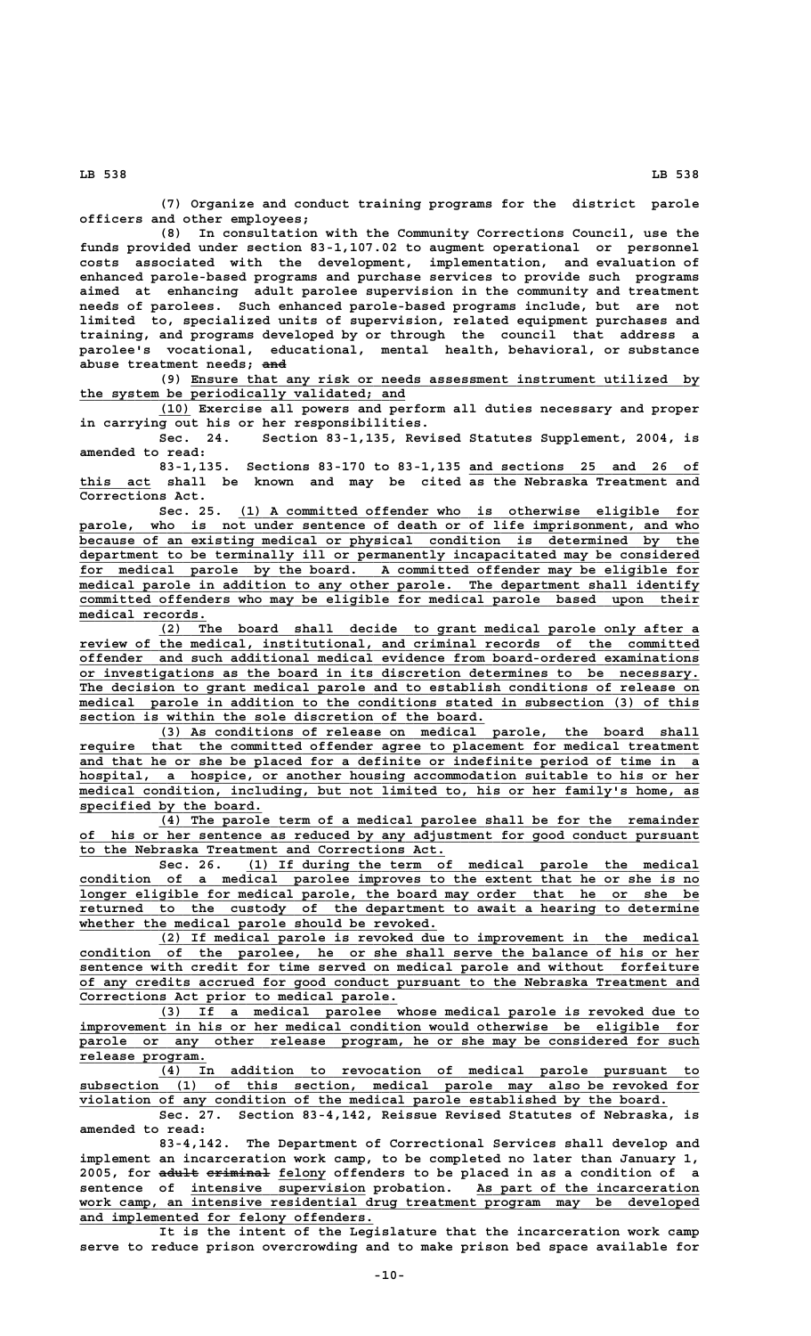**(7) Organize and conduct training programs for the district parole officers and other employees;**

**(8) In consultation with the Community Corrections Council, use the funds provided under section 83-1,107.02 to augment operational or personnel costs associated with the development, implementation, and evaluation of enhanced parole-based programs and purchase services to provide such programs aimed at enhancing adult parolee supervision in the community and treatment needs of parolees. Such enhanced parole-based programs include, but are not limited to, specialized units of supervision, related equipment purchases and training, and programs developed by or through the council that address a parolee's vocational, educational, mental health, behavioral, or substance ——— abuse treatment needs; and**

 **\_\_\_\_\_\_\_\_\_\_\_\_\_\_\_\_\_\_\_\_\_\_\_\_\_\_\_\_\_\_\_\_\_\_\_\_\_\_\_\_\_\_\_\_\_\_\_\_\_\_\_\_\_\_\_\_\_\_\_\_\_\_\_\_ (9) Ensure that any risk or needs assessment instrument utilized by \_\_\_\_\_\_\_\_\_\_\_\_\_\_\_\_\_\_\_\_\_\_\_\_\_\_\_\_\_\_\_\_\_\_\_\_\_\_\_\_\_ the system be periodically validated; and**

 **\_\_\_\_ (10) Exercise all powers and perform all duties necessary and proper in carrying out his or her responsibilities.**

**Sec. 24. Section 83-1,135, Revised Statutes Supplement, 2004, is amended to read:**

**83-1,135. Sections 83-170 to 83-1,135 and sections 25 and 26 of \_\_\_\_\_\_\_\_\_\_\_\_\_\_\_\_\_\_\_\_\_\_\_\_\_\_\_\_\_ \_\_\_\_\_\_\_\_\_ this act shall be known and may be cited as the Nebraska Treatment and Corrections Act.**

 **\_\_\_\_\_\_\_\_\_\_\_\_\_\_\_\_\_\_\_\_\_\_\_\_\_\_\_\_\_\_\_\_\_\_\_\_\_\_\_\_\_\_\_\_\_\_\_\_\_\_\_\_\_\_\_\_\_\_ Sec. 25. (1) A committed offender who is otherwise eligible for** parole, who is not under sentence of death or of life imprisonment, and who because of an existing medical or physical condition is determined by the department to be terminally ill or permanently incapacitated may be considered<br>for medical parole by the board. A committed offender may be eligible for  **\_\_\_\_\_\_\_\_\_\_\_\_\_\_\_\_\_\_\_\_\_\_\_\_\_\_\_\_\_\_\_\_\_\_\_\_\_\_\_\_\_\_\_\_\_\_\_\_\_\_\_\_\_\_\_\_\_\_\_\_\_\_\_\_\_\_\_\_\_\_\_\_\_\_\_\_\_\_ for medical parole by the board. A committed offender may be eligible for \_\_\_\_\_\_\_\_\_\_\_\_\_\_\_\_\_\_\_\_\_\_\_\_\_\_\_\_\_\_\_\_\_\_\_\_\_\_\_\_\_\_\_\_\_\_\_\_\_\_\_\_\_\_\_\_\_\_\_\_\_\_\_\_\_\_\_\_\_\_\_\_\_\_\_\_\_\_ medical parole in addition to any other parole. The department shall identify \_\_\_\_\_\_\_\_\_\_\_\_\_\_\_\_\_\_\_\_\_\_\_\_\_\_\_\_\_\_\_\_\_\_\_\_\_\_\_\_\_\_\_\_\_\_\_\_\_\_\_\_\_\_\_\_\_\_\_\_\_\_\_\_\_\_\_\_\_\_\_\_\_\_\_\_\_\_ committed offenders who may be eligible for medical parole based upon their medical records. \_\_\_\_\_\_\_\_\_\_\_\_\_\_\_\_**

> **\_\_\_\_\_\_\_\_\_\_\_\_\_\_\_\_\_\_\_\_\_\_\_\_\_\_\_\_\_\_\_\_\_\_\_\_\_\_\_\_\_\_\_\_\_\_\_\_\_\_\_\_\_\_\_\_\_\_\_\_\_\_\_\_\_\_\_\_ (2) The board shall decide to grant medical parole only after a \_\_\_\_\_\_\_\_\_\_\_\_\_\_\_\_\_\_\_\_\_\_\_\_\_\_\_\_\_\_\_\_\_\_\_\_\_\_\_\_\_\_\_\_\_\_\_\_\_\_\_\_\_\_\_\_\_\_\_\_\_\_\_\_\_\_\_\_\_\_\_\_\_\_\_\_\_\_ review of the medical, institutional, and criminal records of the committed \_\_\_\_\_\_\_\_\_\_\_\_\_\_\_\_\_\_\_\_\_\_\_\_\_\_\_\_\_\_\_\_\_\_\_\_\_\_\_\_\_\_\_\_\_\_\_\_\_\_\_\_\_\_\_\_\_\_\_\_\_\_\_\_\_\_\_\_\_\_\_\_\_\_\_\_\_\_ offender and such additional medical evidence from board-ordered examinations \_\_\_\_\_\_\_\_\_\_\_\_\_\_\_\_\_\_\_\_\_\_\_\_\_\_\_\_\_\_\_\_\_\_\_\_\_\_\_\_\_\_\_\_\_\_\_\_\_\_\_\_\_\_\_\_\_\_\_\_\_\_\_\_\_\_\_\_\_\_\_\_\_\_\_\_\_\_ or investigations as the board in its discretion determines to be necessary. \_\_\_\_\_\_\_\_\_\_\_\_\_\_\_\_\_\_\_\_\_\_\_\_\_\_\_\_\_\_\_\_\_\_\_\_\_\_\_\_\_\_\_\_\_\_\_\_\_\_\_\_\_\_\_\_\_\_\_\_\_\_\_\_\_\_\_\_\_\_\_\_\_\_\_\_\_\_ The decision to grant medical parole and to establish conditions of release on \_\_\_\_\_\_\_\_\_\_\_\_\_\_\_\_\_\_\_\_\_\_\_\_\_\_\_\_\_\_\_\_\_\_\_\_\_\_\_\_\_\_\_\_\_\_\_\_\_\_\_\_\_\_\_\_\_\_\_\_\_\_\_\_\_\_\_\_\_\_\_\_\_\_\_\_\_\_ medical parole in addition to the conditions stated in subsection (3) of this**  $\frac{1}{\sqrt{2}}$  section is within the sole discretion of the board.

 **\_\_\_\_\_\_\_\_\_\_\_\_\_\_\_\_\_\_\_\_\_\_\_\_\_\_\_\_\_\_\_\_\_\_\_\_\_\_\_\_\_\_\_\_\_\_\_\_\_\_\_\_\_\_\_\_\_\_\_\_\_\_\_\_\_\_\_\_ (3) As conditions of release on medical parole, the board shall \_\_\_\_\_\_\_\_\_\_\_\_\_\_\_\_\_\_\_\_\_\_\_\_\_\_\_\_\_\_\_\_\_\_\_\_\_\_\_\_\_\_\_\_\_\_\_\_\_\_\_\_\_\_\_\_\_\_\_\_\_\_\_\_\_\_\_\_\_\_\_\_\_\_\_\_\_\_ require that the committed offender agree to placement for medical treatment** and that he or she be placed for a definite or indefinite period of time in a hospital, a hospice, or another housing accommodation suitable to his or her  **\_\_\_\_\_\_\_\_\_\_\_\_\_\_\_\_\_\_\_\_\_\_\_\_\_\_\_\_\_\_\_\_\_\_\_\_\_\_\_\_\_\_\_\_\_\_\_\_\_\_\_\_\_\_\_\_\_\_\_\_\_\_\_\_\_\_\_\_\_\_\_\_\_\_\_\_\_\_ medical condition, including, but not limited to, his or her family's home, as \_\_\_\_\_\_\_\_\_\_\_\_\_\_\_\_\_\_\_\_\_\_\_ specified by the board.**

 **\_\_\_\_\_\_\_\_\_\_\_\_\_\_\_\_\_\_\_\_\_\_\_\_\_\_\_\_\_\_\_\_\_\_\_\_\_\_\_\_\_\_\_\_\_\_\_\_\_\_\_\_\_\_\_\_\_\_\_\_\_\_\_\_\_\_\_\_ (4) The parole term of a medical parolee shall be for the remainder \_\_\_\_\_\_\_\_\_\_\_\_\_\_\_\_\_\_\_\_\_\_\_\_\_\_\_\_\_\_\_\_\_\_\_\_\_\_\_\_\_\_\_\_\_\_\_\_\_\_\_\_\_\_\_\_\_\_\_\_\_\_\_\_\_\_\_\_\_\_\_\_\_\_\_\_\_\_ of his or her sentence as reduced by any adjustment for good conduct pursuant \_\_\_\_\_\_\_\_\_\_\_\_\_\_\_\_\_\_\_\_\_\_\_\_\_\_\_\_\_\_\_\_\_\_\_\_\_\_\_\_\_\_\_\_\_\_ to the Nebraska Treatment and Corrections Act.**

 **\_\_\_\_\_\_\_\_\_\_\_\_\_\_\_\_\_\_\_\_\_\_\_\_\_\_\_\_\_\_\_\_\_\_\_\_\_\_\_\_\_\_\_\_\_\_\_\_\_\_\_\_\_\_\_\_\_ Sec. 26. (1) If during the term of medical parole the medical \_\_\_\_\_\_\_\_\_\_\_\_\_\_\_\_\_\_\_\_\_\_\_\_\_\_\_\_\_\_\_\_\_\_\_\_\_\_\_\_\_\_\_\_\_\_\_\_\_\_\_\_\_\_\_\_\_\_\_\_\_\_\_\_\_\_\_\_\_\_\_\_\_\_\_\_\_\_ condition of a medical parolee improves to the extent that he or she is no \_\_\_\_\_\_\_\_\_\_\_\_\_\_\_\_\_\_\_\_\_\_\_\_\_\_\_\_\_\_\_\_\_\_\_\_\_\_\_\_\_\_\_\_\_\_\_\_\_\_\_\_\_\_\_\_\_\_\_\_\_\_\_\_\_\_\_\_\_\_\_\_\_\_\_\_\_\_ longer eligible for medical parole, the board may order that he or she be \_\_\_\_\_\_\_\_\_\_\_\_\_\_\_\_\_\_\_\_\_\_\_\_\_\_\_\_\_\_\_\_\_\_\_\_\_\_\_\_\_\_\_\_\_\_\_\_\_\_\_\_\_\_\_\_\_\_\_\_\_\_\_\_\_\_\_\_\_\_\_\_\_\_\_\_\_\_ returned to the custody of the department to await a hearing to determine** whether the medical parole should be revoked.

 **\_\_\_\_\_\_\_\_\_\_\_\_\_\_\_\_\_\_\_\_\_\_\_\_\_\_\_\_\_\_\_\_\_\_\_\_\_\_\_\_\_\_\_\_\_\_\_\_\_\_\_\_\_\_\_\_\_\_\_\_\_\_\_\_\_\_\_\_ (2) If medical parole is revoked due to improvement in the medical \_\_\_\_\_\_\_\_\_\_\_\_\_\_\_\_\_\_\_\_\_\_\_\_\_\_\_\_\_\_\_\_\_\_\_\_\_\_\_\_\_\_\_\_\_\_\_\_\_\_\_\_\_\_\_\_\_\_\_\_\_\_\_\_\_\_\_\_\_\_\_\_\_\_\_\_\_\_ condition of the parolee, he or she shall serve the balance of his or her \_\_\_\_\_\_\_\_\_\_\_\_\_\_\_\_\_\_\_\_\_\_\_\_\_\_\_\_\_\_\_\_\_\_\_\_\_\_\_\_\_\_\_\_\_\_\_\_\_\_\_\_\_\_\_\_\_\_\_\_\_\_\_\_\_\_\_\_\_\_\_\_\_\_\_\_\_\_ sentence with credit for time served on medical parole and without forfeiture \_\_\_\_\_\_\_\_\_\_\_\_\_\_\_\_\_\_\_\_\_\_\_\_\_\_\_\_\_\_\_\_\_\_\_\_\_\_\_\_\_\_\_\_\_\_\_\_\_\_\_\_\_\_\_\_\_\_\_\_\_\_\_\_\_\_\_\_\_\_\_\_\_\_\_\_\_\_ of any credits accrued for good conduct pursuant to the Nebraska Treatment and \_\_\_\_\_\_\_\_\_\_\_\_\_\_\_\_\_\_\_\_\_\_\_\_\_\_\_\_\_\_\_\_\_\_\_\_\_\_\_\_ Corrections Act prior to medical parole.**

 **\_\_\_\_\_\_\_\_\_\_\_\_\_\_\_\_\_\_\_\_\_\_\_\_\_\_\_\_\_\_\_\_\_\_\_\_\_\_\_\_\_\_\_\_\_\_\_\_\_\_\_\_\_\_\_\_\_\_\_\_\_\_\_\_\_\_\_\_ (3) If a medical parolee whose medical parole is revoked due to \_\_\_\_\_\_\_\_\_\_\_\_\_\_\_\_\_\_\_\_\_\_\_\_\_\_\_\_\_\_\_\_\_\_\_\_\_\_\_\_\_\_\_\_\_\_\_\_\_\_\_\_\_\_\_\_\_\_\_\_\_\_\_\_\_\_\_\_\_\_\_\_\_\_\_\_\_\_ improvement in his or her medical condition would otherwise be eligible for** parole or any other release program, he or she may be considered for such  **release program. \_\_\_\_\_\_\_\_\_\_\_\_\_\_\_\_**

 **\_\_\_\_\_\_\_\_\_\_\_\_\_\_\_\_\_\_\_\_\_\_\_\_\_\_\_\_\_\_\_\_\_\_\_\_\_\_\_\_\_\_\_\_\_\_\_\_\_\_\_\_\_\_\_\_\_\_\_\_\_\_\_\_\_\_\_\_ (4) In addition to revocation of medical parole pursuant to \_\_\_\_\_\_\_\_\_\_\_\_\_\_\_\_\_\_\_\_\_\_\_\_\_\_\_\_\_\_\_\_\_\_\_\_\_\_\_\_\_\_\_\_\_\_\_\_\_\_\_\_\_\_\_\_\_\_\_\_\_\_\_\_\_\_\_\_\_\_\_\_\_\_\_\_\_\_ subsection (1) of this section, medical parole may also be revoked for** violation of any condition of the medical parole established by the board.

**Sec. 27. Section 83-4,142, Reissue Revised Statutes of Nebraska, is amended to read:**

**83-4,142. The Department of Correctional Services shall develop and implement an incarceration work camp, to be completed no later than January 1,** 2005, for <del>adult criminal</del> felony offenders to be placed in as a condition of a  **\_\_\_\_\_\_\_\_\_\_\_\_\_\_\_\_\_\_\_\_\_\_ \_\_\_\_\_\_\_\_\_\_\_\_\_\_\_\_\_\_\_\_\_\_\_\_\_\_\_\_ sentence of intensive supervision probation. As part of the incarceration** work camp, an intensive residential drug treatment program may be developed  **\_\_\_\_\_\_\_\_\_\_\_\_\_\_\_\_\_\_\_\_\_\_\_\_\_\_\_\_\_\_\_\_\_\_\_\_\_ and implemented for felony offenders.**

**It is the intent of the Legislature that the incarceration work camp serve to reduce prison overcrowding and to make prison bed space available for**